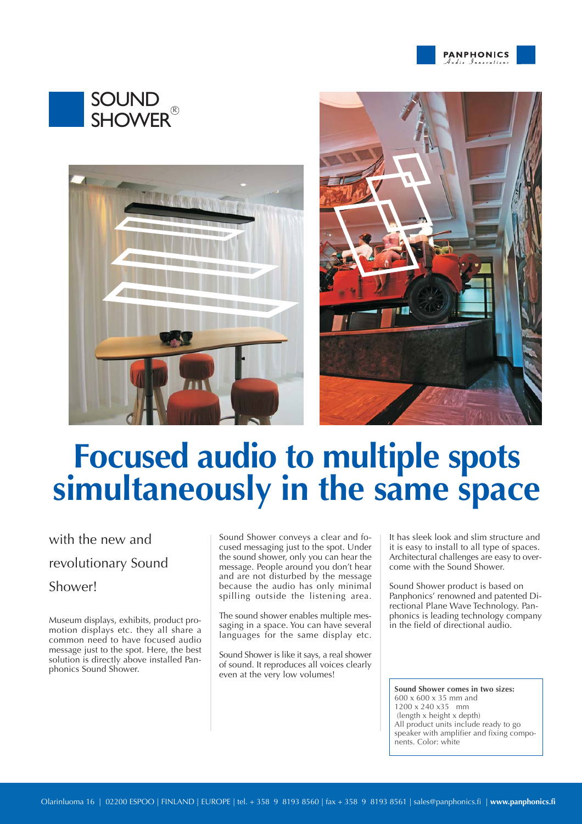







# **Focused audio to multiple spots simultaneously in the same space**

### with the new and revolutionary Sound Shower!

Museum displays, exhibits, product promotion displays etc. they all share a common need to have focused audio message just to the spot. Here, the best solution is directly above installed Panphonics Sound Shower.

Sound Shower conveys a clear and focused messaging just to the spot. Under the sound shower, only you can hear the message. People around you don't hear and are not disturbed by the message because the audio has only minimal spilling outside the listening area.

The sound shower enables multiple messaging in a space. You can have several languages for the same display etc.

Sound Shower is like it says, a real shower of sound. It reproduces all voices clearly even at the very low volumes!

It has sleek look and slim structure and it is easy to install to all type of spaces. Architectural challenges are easy to overcome with the Sound Shower.

Sound Shower product is based on Panphonics' renowned and patented Directional Plane Wave Technology. Panphonics is leading technology company in the field of directional audio.

**Sound Shower comes in two sizes:** 600 x 600 x 35 mm and 1200 x 240 x35 mm (length x height x depth) All product units include ready to go speaker with amplifier and fixing components. Color: white